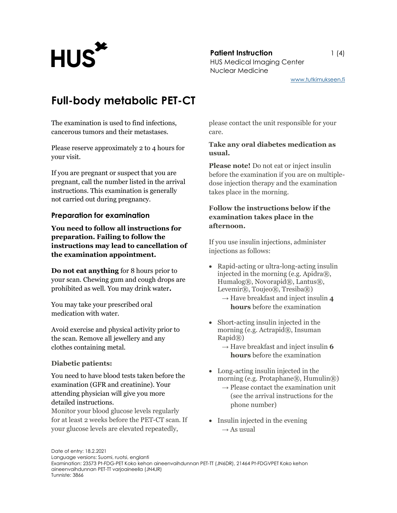**Patient Instruction** 1 (4) Patient Instruction<br>HUS Medical Imaging Center Nuclear Medicine

www.tutkimukseen.fi

## Full-body metabolic PET-CT

The examination is used to find infections, cancerous tumors and their metastases.

Please reserve approximately 2 to 4 hours for your visit.

If you are pregnant or suspect that you are pregnant, call the number listed in the arrival instructions. This examination is generally not carried out during pregnancy.

### Preparation for examination

You need to follow all instructions for preparation. Failing to follow the instructions may lead to cancellation of the examination appointment.

Do not eat anything for 8 hours prior to your scan. Chewing gum and cough drops are prohibited as well. You may drink water.

You may take your prescribed oral medication with water.

Avoid exercise and physical activity prior to the scan. Remove all jewellery and any clothes containing metal.

### Diabetic patients:

You need to have blood tests taken before the examination (GFR and creatinine). Your attending physician will give you more detailed instructions.

Monitor your blood glucose levels regularly for at least 2 weeks before the PET-CT scan. If your glucose levels are elevated repeatedly,

please contact the unit responsible for your care.

### Take any oral diabetes medication as usual.

Please note! Do not eat or inject insulin before the examination if you are on multipledose injection therapy and the examination takes place in the morning.

### Follow the instructions below if the examination takes place in the afternoon.

If you use insulin injections, administer injections as follows:

- Rapid-acting or ultra-long-acting insulin injected in the morning (e.g. Apidra®, Humalog®, Novorapid®, Lantus®, Levemir®, Toujeo®, Tresiba®)
	- $\rightarrow$  Have breakfast and inject insulin 4 hours before the examination
- Short-acting insulin injected in the morning (e.g. Actrapid®, Insuman Rapid®)
	- $\rightarrow$  Have breakfast and inject insulin 6 hours before the examination
- Long-acting insulin injected in the morning (e.g. Protaphane®, Humulin®)
	- $\rightarrow$  Please contact the examination unit (see the arrival instructions for the phone number)
- Insulin injected in the evening  $\rightarrow$  As usual

Date of entry: 18.2.2021 Language versions: Suomi, ruotsi, englanti Examination: 23573 Pt-FDG-PET Koko kehon aineenvaihdunnan PET-TT (JN6DR), 21464 Pt-FDGVPET Koko kehon aineenvaihdunnan PET-TT varjoaineella (JN4JR) Tunniste: 3866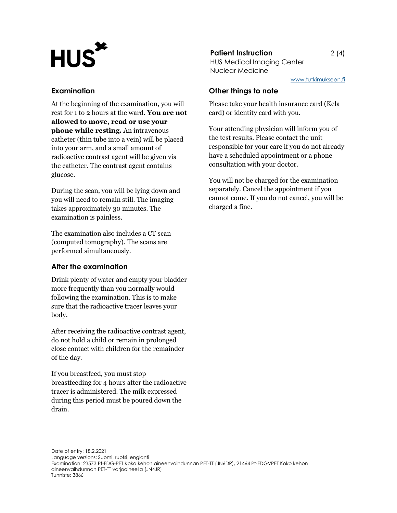# Patient Instruction<br>HUS Medical Imaging Center

### Examination

At the beginning of the examination, you will rest for 1 to 2 hours at the ward. You are not allowed to move, read or use your phone while resting. An intravenous catheter (thin tube into a vein) will be placed into your arm, and a small amount of radioactive contrast agent will be given via the catheter. The contrast agent contains glucose.

During the scan, you will be lying down and you will need to remain still. The imaging takes approximately 30 minutes. The examination is painless.

The examination also includes a CT scan (computed tomography). The scans are performed simultaneously.

### After the examination

Drink plenty of water and empty your bladder more frequently than you normally would following the examination. This is to make sure that the radioactive tracer leaves your body.

After receiving the radioactive contrast agent, do not hold a child or remain in prolonged close contact with children for the remainder of the day.

If you breastfeed, you must stop breastfeeding for 4 hours after the radioactive tracer is administered. The milk expressed during this period must be poured down the drain.

### **Patient Instruction** 2 (4)

Nuclear Medicine

www.tutkimukseen.fi

### Other things to note

Please take your health insurance card (Kela card) or identity card with you.

Your attending physician will inform you of the test results. Please contact the unit responsible for your care if you do not already have a scheduled appointment or a phone consultation with your doctor.

You will not be charged for the examination separately. Cancel the appointment if you cannot come. If you do not cancel, you will be charged a fine.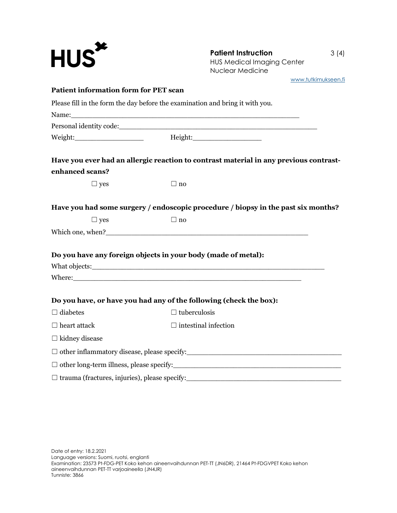| $HUS^{\star}$                                | <b>Patient Instruction</b><br><b>HUS Medical Imaging Center</b><br><b>Nuclear Medicine</b>                                                                                                                                           | 3(4) |
|----------------------------------------------|--------------------------------------------------------------------------------------------------------------------------------------------------------------------------------------------------------------------------------------|------|
|                                              | www.tutkimukseen.fi                                                                                                                                                                                                                  |      |
| <b>Patient information form for PET scan</b> |                                                                                                                                                                                                                                      |      |
|                                              | Please fill in the form the day before the examination and bring it with you.                                                                                                                                                        |      |
|                                              |                                                                                                                                                                                                                                      |      |
|                                              |                                                                                                                                                                                                                                      |      |
|                                              | Have you ever had an allergic reaction to contrast material in any previous contrast-                                                                                                                                                |      |
| enhanced scans?                              |                                                                                                                                                                                                                                      |      |
| $\Box$ yes                                   | $\Box$ no                                                                                                                                                                                                                            |      |
|                                              | Have you had some surgery / endoscopic procedure / biopsy in the past six months?                                                                                                                                                    |      |
| $\Box$ yes                                   | $\Box$ no                                                                                                                                                                                                                            |      |
|                                              |                                                                                                                                                                                                                                      |      |
|                                              | Do you have any foreign objects in your body (made of metal):                                                                                                                                                                        |      |
|                                              |                                                                                                                                                                                                                                      |      |
|                                              | Where: <u>the contract of the contract of the contract of the contract of the contract of the contract of the contract of the contract of the contract of the contract of the contract of the contract of the contract of the co</u> |      |
|                                              | Do you have, or have you had any of the following (check the box):                                                                                                                                                                   |      |
| $\Box$ diabetes                              | $\Box$ tuberculosis                                                                                                                                                                                                                  |      |
| $\Box$ heart attack                          | $\Box$ intestinal infection                                                                                                                                                                                                          |      |
| $\Box$ kidney disease                        |                                                                                                                                                                                                                                      |      |
|                                              |                                                                                                                                                                                                                                      |      |
|                                              |                                                                                                                                                                                                                                      |      |
|                                              |                                                                                                                                                                                                                                      |      |